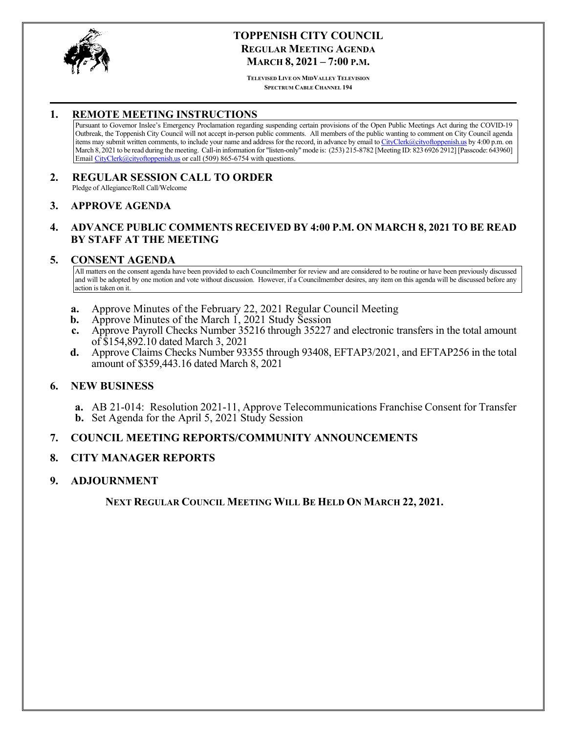<span id="page-0-0"></span>

# **TOPPENISH CITY COUNCIL REGULAR MEETING AGENDA MARCH 8, 2021 – 7:00 P.M.**

**TELEVISED LIVE ON MIDVALLEY TELEVISION SPECTRUM CABLE CHANNEL 194**

# **1. REMOTE MEETING INSTRUCTIONS**

Pursuant to Governor Inslee's Emergency Proclamation regarding suspending certain provisions of the Open Public Meetings Act during the COVID-19 Outbreak, the Toppenish City Council will not accept in-person public comments. All members of the public wanting to comment on City Council agenda items may submit written comments, to include your name and address for the record, in advance by email to CityClerk@cityoftoppenish.us by 4:00 p.m. on March 8, 2021 to be read during the meeting. Call-in information for "listen-only" mode is: (253) 215-8782 [Meeting ID: 823 6926 2912] [Passcode: 643960] Email CityClerk@cityoftoppenish.us or call (509) 865-6754 with questions.

#### **2. REGULAR SESSION CALL TO ORDER** Pledge of Allegiance/Roll Call/Welcome

#### **3. APPROVE AGENDA**

# **4. ADVANCE PUBLIC COMMENTS RECEIVED BY 4:00 P.M. ON MARCH 8, 2021 TO BE READ BY STAFF AT THE MEETING**

#### **5. CONSENT AGENDA**

All matters on the consent agenda have been provided to each Councilmember for review and are considered to be routine or have been previously discussed and will be adopted by one motion and vote without discussion. However, if a Councilmember desires, any item on this agenda will be discussed before any action is taken on it.

- **a.** [Approve Minutes of the February 22, 2021 Regular Council Meeting](#page-1-0)
- **b.** [Approve Minutes of the March 1, 2021 Study Session](#page-4-0)
- **c.** [Approve Payroll Checks Number 35216 through 35227](#page-6-0) and electronic transfers in the total amount of \$154,892.10 dated March 3, 2021
- **d.** [Approve Claims Checks Number 93355 through 93408, EFTAP3/2021, and EFTAP256 in the total](#page-7-0) amount of \$359,443.16 dated March 8, 2021

# **6. NEW BUSINESS**

**a.** [AB 21-014: Resolution 2021-11, Approve Telecommunications Franchise Consent for Transfer](#page-10-0) **b.** Set Agenda for the April 5, 2021 Study Session

#### **7. COUNCIL MEETING REPORTS/COMMUNITY ANNOUNCEMENTS**

# **8. CITY MANAGER REPORTS**

#### **9. ADJOURNMENT**

**NEXT REGULAR COUNCIL MEETING WILL BE HELD ON MARCH 22, 2021.**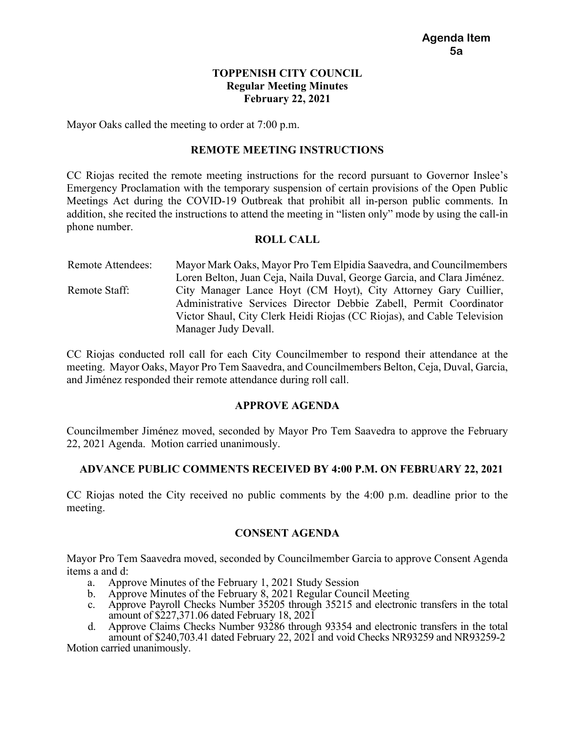# **TOPPENISH CITY COUNCIL Regular Meeting Minutes February 22, 2021**

<span id="page-1-0"></span>Mayor Oaks called the meeting to order at 7:00 p.m.

### **REMOTE MEETING INSTRUCTIONS**

CC Riojas recited the remote meeting instructions for the record pursuant to Governor Inslee's Emergency Proclamation with the temporary suspension of certain provisions of the Open Public Meetings Act during the COVID-19 Outbreak that prohibit all in-person public comments. In addition, she recited the instructions to attend the meeting in "listen only" mode by using the call-in phone number.

#### **ROLL CALL**

Remote Attendees: Mayor Mark Oaks, Mayor Pro Tem Elpidia Saavedra, and Councilmembers Loren Belton, Juan Ceja, Naila Duval, George Garcia, and Clara Jiménez. Remote Staff: City Manager Lance Hoyt (CM Hoyt), City Attorney Gary Cuillier, Administrative Services Director Debbie Zabell, Permit Coordinator Victor Shaul, City Clerk Heidi Riojas (CC Riojas), and Cable Television Manager Judy Devall.

CC Riojas conducted roll call for each City Councilmember to respond their attendance at the meeting. Mayor Oaks, Mayor Pro Tem Saavedra, and Councilmembers Belton, Ceja, Duval, Garcia, and Jiménez responded their remote attendance during roll call.

# **APPROVE AGENDA**

Councilmember Jiménez moved, seconded by Mayor Pro Tem Saavedra to approve the February 22, 2021 Agenda. Motion carried unanimously.

# **ADVANCE PUBLIC COMMENTS RECEIVED BY 4:00 P.M. ON FEBRUARY 22, 2021**

CC Riojas noted the City received no public comments by the 4:00 p.m. deadline prior to the meeting.

# **CONSENT AGENDA**

Mayor Pro Tem Saavedra moved, seconded by Councilmember Garcia to approve Consent Agenda items a and d:

- a. Approve Minutes of the February 1, 2021 Study Session
- b. Approve Minutes of the February 8, 2021 Regular Council Meeting
- c. Approve Payroll Checks Number 35205 through 35215 and electronic transfers in the total amount of \$227,371.06 dated February 18, 2021
- d. Approve Claims Checks Number 93286 through 93354 and electronic transfers in the total amount of \$240,703.41 dated February 22, 2021 and void Checks NR93259 and NR93259-2

Motion carried unanimously.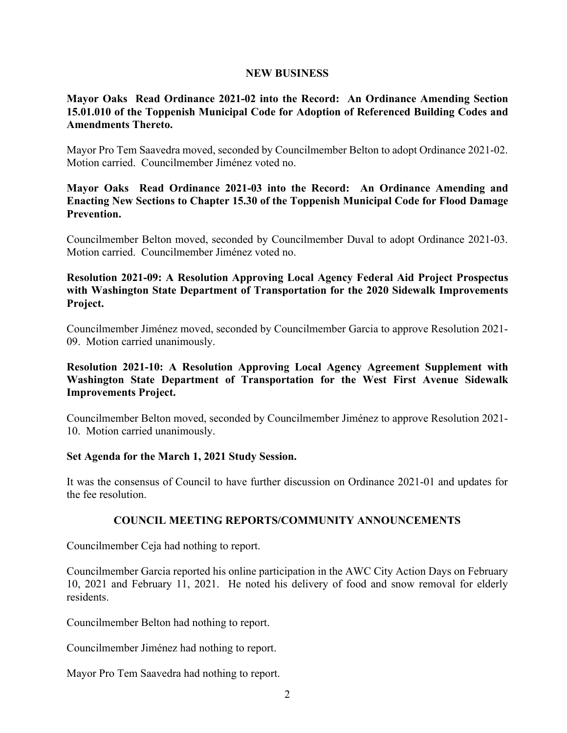### **NEW BUSINESS**

# **Mayor Oaks Read Ordinance 2021-02 into the Record: An Ordinance Amending Section 15.01.010 of the Toppenish Municipal Code for Adoption of Referenced Building Codes and Amendments Thereto.**

Mayor Pro Tem Saavedra moved, seconded by Councilmember Belton to adopt Ordinance 2021-02. Motion carried. Councilmember Jiménez voted no.

**Mayor Oaks Read Ordinance 2021-03 into the Record: An Ordinance Amending and Enacting New Sections to Chapter 15.30 of the Toppenish Municipal Code for Flood Damage Prevention.** 

Councilmember Belton moved, seconded by Councilmember Duval to adopt Ordinance 2021-03. Motion carried. Councilmember Jiménez voted no.

# **Resolution 2021-09: A Resolution Approving Local Agency Federal Aid Project Prospectus with Washington State Department of Transportation for the 2020 Sidewalk Improvements Project.**

Councilmember Jiménez moved, seconded by Councilmember Garcia to approve Resolution 2021- 09. Motion carried unanimously.

# **Resolution 2021-10: A Resolution Approving Local Agency Agreement Supplement with Washington State Department of Transportation for the West First Avenue Sidewalk Improvements Project.**

Councilmember Belton moved, seconded by Councilmember Jiménez to approve Resolution 2021- 10. Motion carried unanimously.

# **Set Agenda for the March 1, 2021 Study Session.**

It was the consensus of Council to have further discussion on Ordinance 2021-01 and updates for the fee resolution.

# **COUNCIL MEETING REPORTS/COMMUNITY ANNOUNCEMENTS**

Councilmember Ceja had nothing to report.

Councilmember Garcia reported his online participation in the AWC City Action Days on February 10, 2021 and February 11, 2021. He noted his delivery of food and snow removal for elderly residents.

Councilmember Belton had nothing to report.

Councilmember Jiménez had nothing to report.

Mayor Pro Tem Saavedra had nothing to report.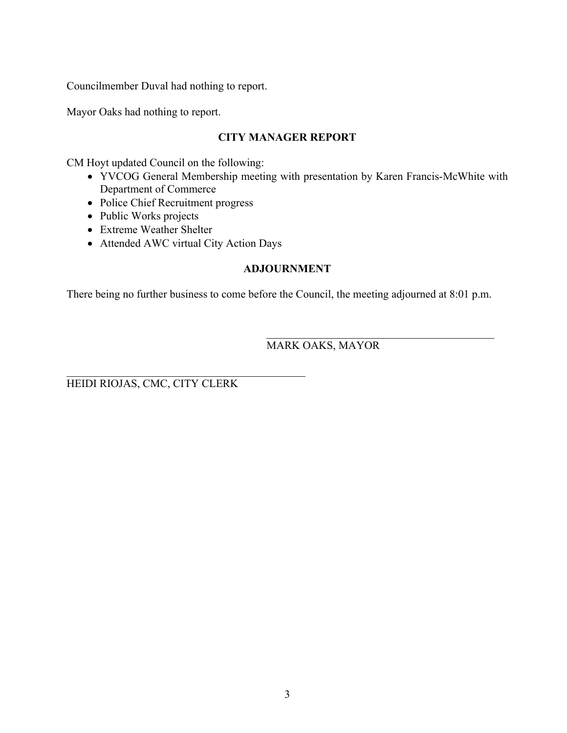Councilmember Duval had nothing to report.

Mayor Oaks had nothing to report.

# **CITY MANAGER REPORT**

CM Hoyt updated Council on the following:

- YVCOG General Membership meeting with presentation by Karen Francis-McWhite with Department of Commerce
- Police Chief Recruitment progress
- Public Works projects
- Extreme Weather Shelter
- Attended AWC virtual City Action Days

# **ADJOURNMENT**

There being no further business to come before the Council, the meeting adjourned at 8:01 p.m.

# MARK OAKS, MAYOR

HEIDI RIOJAS, CMC, CITY CLERK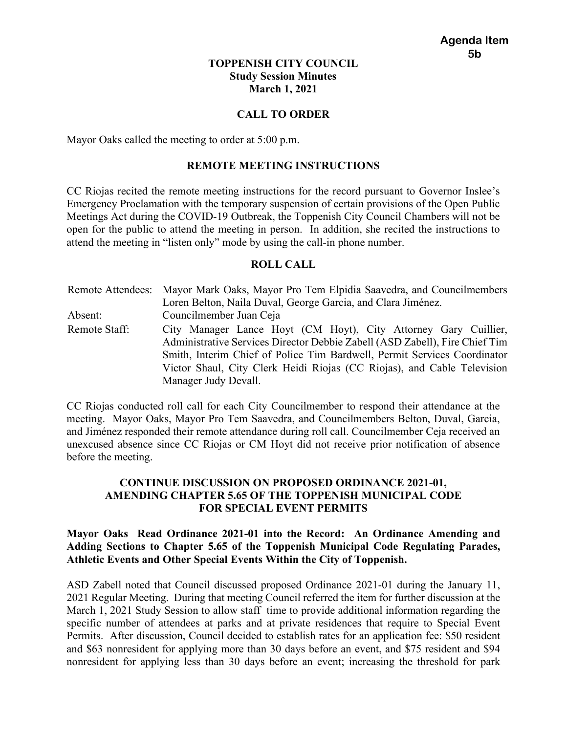# **TOPPENISH CITY COUNCIL Study Session Minutes March 1, 2021**

# **CALL TO ORDER**

<span id="page-4-0"></span>Mayor Oaks called the meeting to order at 5:00 p.m.

#### **REMOTE MEETING INSTRUCTIONS**

CC Riojas recited the remote meeting instructions for the record pursuant to Governor Inslee's Emergency Proclamation with the temporary suspension of certain provisions of the Open Public Meetings Act during the COVID-19 Outbreak, the Toppenish City Council Chambers will not be open for the public to attend the meeting in person. In addition, she recited the instructions to attend the meeting in "listen only" mode by using the call-in phone number.

#### **ROLL CALL**

Remote Attendees: Mayor Mark Oaks, Mayor Pro Tem Elpidia Saavedra, and Councilmembers Loren Belton, Naila Duval, George Garcia, and Clara Jiménez. Absent: Councilmember Juan Ceja Remote Staff: City Manager Lance Hoyt (CM Hoyt), City Attorney Gary Cuillier, Administrative Services Director Debbie Zabell (ASD Zabell), Fire Chief Tim Smith, Interim Chief of Police Tim Bardwell, Permit Services Coordinator Victor Shaul, City Clerk Heidi Riojas (CC Riojas), and Cable Television Manager Judy Devall.

CC Riojas conducted roll call for each City Councilmember to respond their attendance at the meeting. Mayor Oaks, Mayor Pro Tem Saavedra, and Councilmembers Belton, Duval, Garcia, and Jiménez responded their remote attendance during roll call. Councilmember Ceja received an unexcused absence since CC Riojas or CM Hoyt did not receive prior notification of absence before the meeting.

# **CONTINUE DISCUSSION ON PROPOSED ORDINANCE 2021-01, AMENDING CHAPTER 5.65 OF THE TOPPENISH MUNICIPAL CODE FOR SPECIAL EVENT PERMITS**

# **Mayor Oaks Read Ordinance 2021-01 into the Record: An Ordinance Amending and Adding Sections to Chapter 5.65 of the Toppenish Municipal Code Regulating Parades, Athletic Events and Other Special Events Within the City of Toppenish.**

ASD Zabell noted that Council discussed proposed Ordinance 2021-01 during the January 11, 2021 Regular Meeting. During that meeting Council referred the item for further discussion at the March 1, 2021 Study Session to allow staff time to provide additional information regarding the specific number of attendees at parks and at private residences that require to Special Event Permits. After discussion, Council decided to establish rates for an application fee: \$50 resident and \$63 nonresident for applying more than 30 days before an event, and \$75 resident and \$94 nonresident for applying less than 30 days before an event; increasing the threshold for park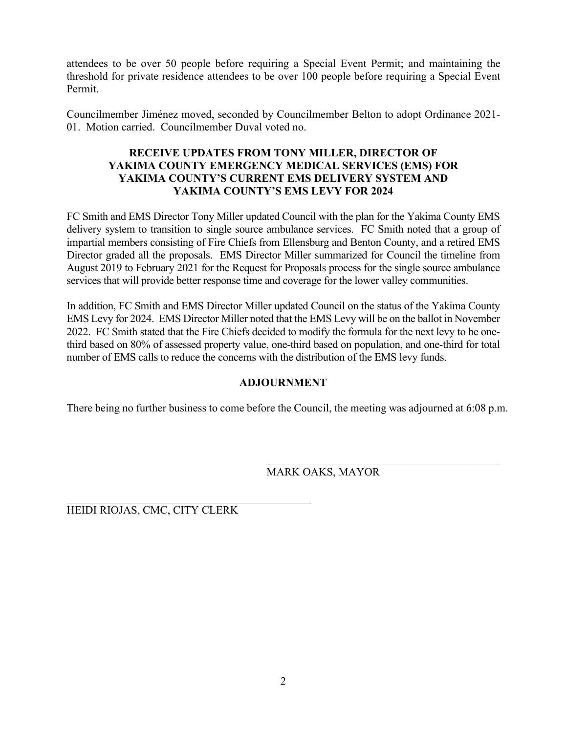attendees to be over 50 people before requiring a Special Event Permit; and maintaining the threshold for private residence attendees to be over 100 people before requiring a Special Event Permit.

Councilmember Jiménez moved, seconded by Councilmember Belton to adopt Ordinance 2021- 01. Motion carried. Councilmember Duval voted no.

# **RECEIVE UPDATES FROM TONY MILLER, DIRECTOR OF YAKIMA COUNTY EMERGENCY MEDICAL SERVICES (EMS) FOR YAKIMA COUNTY'S CURRENT EMS DELIVERY SYSTEM AND YAKIMA COUNTY'S EMS LEVY FOR 2024**

FC Smith and EMS Director Tony Miller updated Council with the plan for the Yakima County EMS delivery system to transition to single source ambulance services. FC Smith noted that a group of impartial members consisting of Fire Chiefs from Ellensburg and Benton County, and a retired EMS Director graded all the proposals. EMS Director Miller summarized for Council the timeline from August 2019 to February 2021 for the Request for Proposals process for the single source ambulance services that will provide better response time and coverage for the lower valley communities.

In addition, FC Smith and EMS Director Miller updated Council on the status of the Yakima County EMS Levy for 2024. EMS Director Miller noted that the EMS Levy will be on the ballot in November 2022. FC Smith stated that the Fire Chiefs decided to modify the formula for the next levy to be onethird based on 80% of assessed property value, one-third based on population, and one-third for total number of EMS calls to reduce the concerns with the distribution of the EMS levy funds.

# **ADJOURNMENT**

There being no further business to come before the Council, the meeting was adjourned at 6:08 p.m.

# MARK OAKS, MAYOR

HEIDI RIOJAS, CMC, CITY CLERK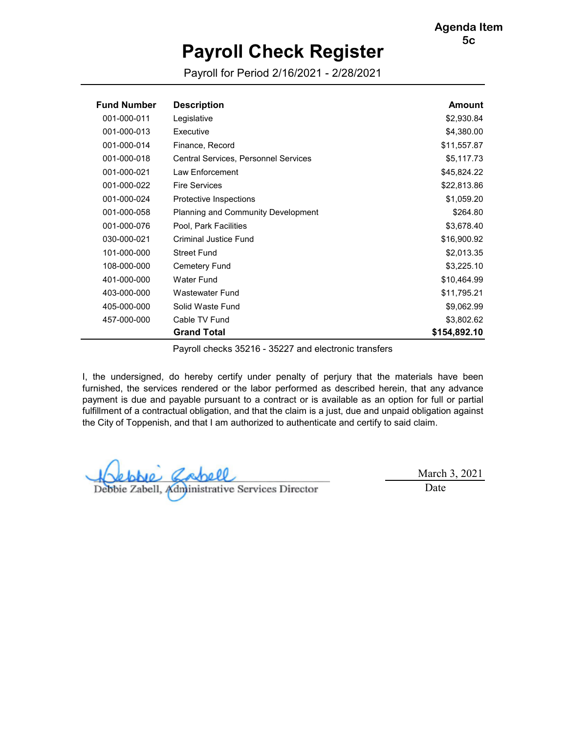# **Payroll Check Register**

Payroll for Period 2/16/2021 - 2/28/2021

<span id="page-6-0"></span>

| <b>Fund Number</b> | <b>Description</b>                          | Amount       |
|--------------------|---------------------------------------------|--------------|
| 001-000-011        | Legislative                                 | \$2,930.84   |
| 001-000-013        | Executive                                   | \$4,380.00   |
| 001-000-014        | Finance, Record                             | \$11,557.87  |
| 001-000-018        | <b>Central Services, Personnel Services</b> | \$5,117.73   |
| 001-000-021        | Law Enforcement                             | \$45,824.22  |
| 001-000-022        | <b>Fire Services</b>                        | \$22,813.86  |
| 001-000-024        | Protective Inspections                      | \$1,059.20   |
| 001-000-058        | <b>Planning and Community Development</b>   | \$264.80     |
| 001-000-076        | Pool, Park Facilities                       | \$3,678.40   |
| 030-000-021        | Criminal Justice Fund                       | \$16,900.92  |
| 101-000-000        | <b>Street Fund</b>                          | \$2,013.35   |
| 108-000-000        | Cemetery Fund                               | \$3,225.10   |
| 401-000-000        | Water Fund                                  | \$10,464.99  |
| 403-000-000        | Wastewater Fund                             | \$11,795.21  |
| 405-000-000        | Solid Waste Fund                            | \$9,062.99   |
| 457-000-000        | Cable TV Fund                               | \$3,802.62   |
|                    | <b>Grand Total</b>                          | \$154,892.10 |

Payroll checks 35216 - 35227 and electronic transfers

I, the undersigned, do hereby certify under penalty of perjury that the materials have been furnished, the services rendered or the labor performed as described herein, that any advance payment is due and payable pursuant to a contract or is available as an option for full or partial fulfillment of a contractual obligation, and that the claim is a just, due and unpaid obligation against the City of Toppenish, and that I am authorized to authenticate and certify to said claim.

Debbie Zabell, Administrative Services Director

March 3, 2021

Date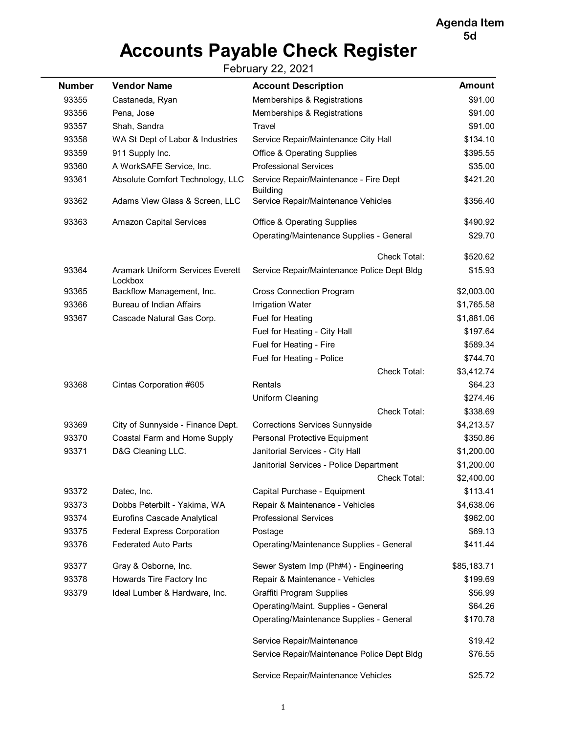**[Agenda Item](#page-0-0) 5d**

# **Accounts Payable Check Register**

February 22, 2021

<span id="page-7-0"></span>

| <b>Number</b> | <b>Vendor Name</b>                                 | <b>Account Description</b>                                | <b>Amount</b> |
|---------------|----------------------------------------------------|-----------------------------------------------------------|---------------|
| 93355         | Castaneda, Ryan                                    | Memberships & Registrations                               | \$91.00       |
| 93356         | Pena, Jose                                         | Memberships & Registrations                               | \$91.00       |
| 93357         | Shah, Sandra                                       | Travel                                                    | \$91.00       |
| 93358         | WA St Dept of Labor & Industries                   | Service Repair/Maintenance City Hall                      | \$134.10      |
| 93359         | 911 Supply Inc.                                    | <b>Office &amp; Operating Supplies</b>                    | \$395.55      |
| 93360         | A WorkSAFE Service, Inc.                           | <b>Professional Services</b>                              | \$35.00       |
| 93361         | Absolute Comfort Technology, LLC                   | Service Repair/Maintenance - Fire Dept<br><b>Building</b> | \$421.20      |
| 93362         | Adams View Glass & Screen, LLC                     | Service Repair/Maintenance Vehicles                       | \$356.40      |
| 93363         | <b>Amazon Capital Services</b>                     | <b>Office &amp; Operating Supplies</b>                    | \$490.92      |
|               |                                                    | Operating/Maintenance Supplies - General                  | \$29.70       |
|               |                                                    | Check Total:                                              | \$520.62      |
| 93364         | <b>Aramark Uniform Services Everett</b><br>Lockbox | Service Repair/Maintenance Police Dept Bldg               | \$15.93       |
| 93365         | Backflow Management, Inc.                          | <b>Cross Connection Program</b>                           | \$2,003.00    |
| 93366         | <b>Bureau of Indian Affairs</b>                    | <b>Irrigation Water</b>                                   | \$1,765.58    |
| 93367         | Cascade Natural Gas Corp.                          | Fuel for Heating                                          | \$1,881.06    |
|               |                                                    | Fuel for Heating - City Hall                              | \$197.64      |
|               |                                                    | Fuel for Heating - Fire                                   | \$589.34      |
|               |                                                    | Fuel for Heating - Police                                 | \$744.70      |
|               |                                                    | Check Total:                                              | \$3,412.74    |
| 93368         | Cintas Corporation #605                            | Rentals                                                   | \$64.23       |
|               |                                                    | Uniform Cleaning                                          | \$274.46      |
|               |                                                    | Check Total:                                              | \$338.69      |
| 93369         | City of Sunnyside - Finance Dept.                  | <b>Corrections Services Sunnyside</b>                     | \$4,213.57    |
| 93370         | Coastal Farm and Home Supply                       | Personal Protective Equipment                             | \$350.86      |
| 93371         | D&G Cleaning LLC.                                  | Janitorial Services - City Hall                           | \$1,200.00    |
|               |                                                    | Janitorial Services - Police Department                   | \$1,200.00    |
|               |                                                    | Check Total:                                              | \$2,400.00    |
| 93372         | Datec, Inc.                                        | Capital Purchase - Equipment                              | \$113.41      |
| 93373         | Dobbs Peterbilt - Yakima, WA                       | Repair & Maintenance - Vehicles                           | \$4,638.06    |
| 93374         | <b>Eurofins Cascade Analytical</b>                 | <b>Professional Services</b>                              | \$962.00      |
| 93375         | <b>Federal Express Corporation</b>                 | Postage                                                   | \$69.13       |
| 93376         | <b>Federated Auto Parts</b>                        | Operating/Maintenance Supplies - General                  | \$411.44      |
| 93377         | Gray & Osborne, Inc.                               | Sewer System Imp (Ph#4) - Engineering                     | \$85,183.71   |
| 93378         | Howards Tire Factory Inc                           | Repair & Maintenance - Vehicles                           | \$199.69      |
| 93379         | Ideal Lumber & Hardware, Inc.                      | <b>Graffiti Program Supplies</b>                          | \$56.99       |
|               |                                                    | Operating/Maint. Supplies - General                       | \$64.26       |
|               |                                                    | Operating/Maintenance Supplies - General                  | \$170.78      |
|               |                                                    | Service Repair/Maintenance                                | \$19.42       |
|               |                                                    | Service Repair/Maintenance Police Dept Bldg               | \$76.55       |
|               |                                                    | Service Repair/Maintenance Vehicles                       | \$25.72       |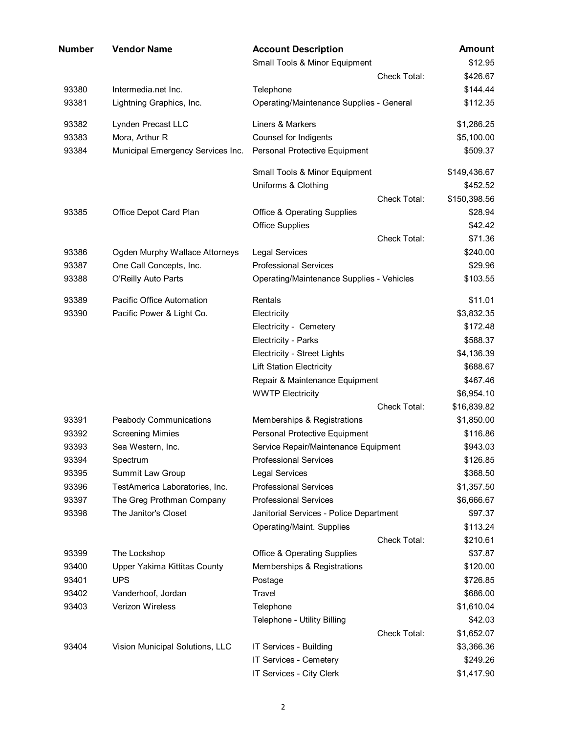| Number | <b>Vendor Name</b>                | <b>Account Description</b>                       | <b>Amount</b> |
|--------|-----------------------------------|--------------------------------------------------|---------------|
|        |                                   | Small Tools & Minor Equipment                    | \$12.95       |
|        |                                   | <b>Check Total:</b>                              | \$426.67      |
| 93380  | Intermedia.net Inc.               | Telephone                                        | \$144.44      |
| 93381  | Lightning Graphics, Inc.          | Operating/Maintenance Supplies - General         | \$112.35      |
| 93382  | Lynden Precast LLC                | Liners & Markers                                 | \$1,286.25    |
| 93383  | Mora, Arthur R                    | Counsel for Indigents                            | \$5,100.00    |
| 93384  | Municipal Emergency Services Inc. | Personal Protective Equipment                    | \$509.37      |
|        |                                   | Small Tools & Minor Equipment                    | \$149,436.67  |
|        |                                   | Uniforms & Clothing                              | \$452.52      |
|        |                                   | Check Total:                                     | \$150,398.56  |
| 93385  | Office Depot Card Plan            | <b>Office &amp; Operating Supplies</b>           | \$28.94       |
|        |                                   | <b>Office Supplies</b>                           | \$42.42       |
|        |                                   | Check Total:                                     | \$71.36       |
| 93386  | Ogden Murphy Wallace Attorneys    | Legal Services                                   | \$240.00      |
| 93387  | One Call Concepts, Inc.           | <b>Professional Services</b>                     | \$29.96       |
| 93388  | O'Reilly Auto Parts               | <b>Operating/Maintenance Supplies - Vehicles</b> | \$103.55      |
| 93389  | Pacific Office Automation         | Rentals                                          | \$11.01       |
| 93390  | Pacific Power & Light Co.         | Electricity                                      | \$3,832.35    |
|        |                                   | Electricity - Cemetery                           | \$172.48      |
|        |                                   | Electricity - Parks                              | \$588.37      |
|        |                                   | <b>Electricity - Street Lights</b>               | \$4,136.39    |
|        |                                   | <b>Lift Station Electricity</b>                  | \$688.67      |
|        |                                   | Repair & Maintenance Equipment                   | \$467.46      |
|        |                                   | <b>WWTP Electricity</b>                          | \$6,954.10    |
|        |                                   | Check Total:                                     | \$16,839.82   |
| 93391  | <b>Peabody Communications</b>     | Memberships & Registrations                      | \$1,850.00    |
| 93392  | <b>Screening Mimies</b>           | Personal Protective Equipment                    | \$116.86      |
| 93393  | Sea Western, Inc.                 | Service Repair/Maintenance Equipment             | \$943.03      |
| 93394  | Spectrum                          | <b>Professional Services</b>                     | \$126.85      |
| 93395  | Summit Law Group                  | <b>Legal Services</b>                            | \$368.50      |
| 93396  | TestAmerica Laboratories, Inc.    | <b>Professional Services</b>                     | \$1,357.50    |
| 93397  | The Greg Prothman Company         | <b>Professional Services</b>                     | \$6,666.67    |
| 93398  | The Janitor's Closet              | Janitorial Services - Police Department          | \$97.37       |
|        |                                   | Operating/Maint. Supplies                        | \$113.24      |
|        |                                   | <b>Check Total:</b>                              | \$210.61      |
| 93399  | The Lockshop                      | <b>Office &amp; Operating Supplies</b>           | \$37.87       |
| 93400  | Upper Yakima Kittitas County      | Memberships & Registrations                      | \$120.00      |
| 93401  | <b>UPS</b>                        | Postage                                          | \$726.85      |
| 93402  | Vanderhoof, Jordan                | Travel                                           | \$686.00      |
| 93403  | Verizon Wireless                  | Telephone                                        | \$1,610.04    |
|        |                                   | Telephone - Utility Billing                      | \$42.03       |
|        |                                   | Check Total:                                     | \$1,652.07    |
| 93404  | Vision Municipal Solutions, LLC   | IT Services - Building                           | \$3,366.36    |
|        |                                   | IT Services - Cemetery                           | \$249.26      |
|        |                                   | IT Services - City Clerk                         | \$1,417.90    |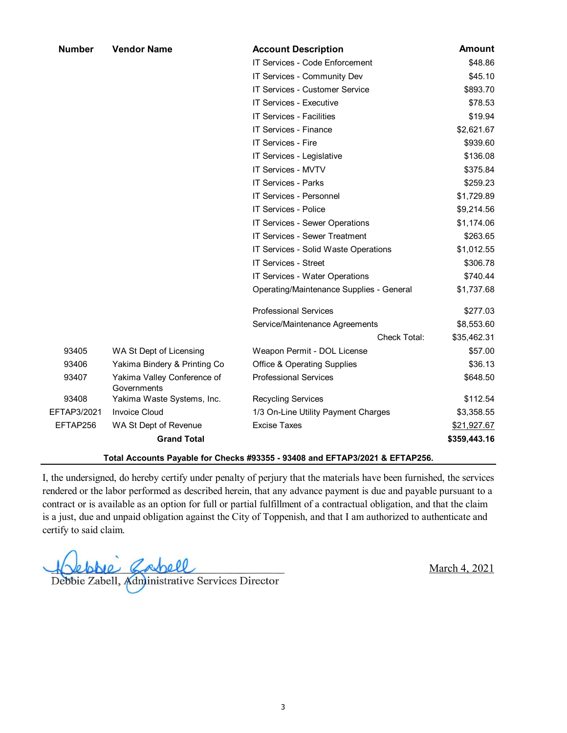| <b>Number</b>                                                                | <b>Vendor Name</b>                         | <b>Account Description</b>               | <b>Amount</b> |  |  |
|------------------------------------------------------------------------------|--------------------------------------------|------------------------------------------|---------------|--|--|
|                                                                              |                                            | IT Services - Code Enforcement           | \$48.86       |  |  |
|                                                                              |                                            | IT Services - Community Dev              | \$45.10       |  |  |
|                                                                              |                                            | IT Services - Customer Service           | \$893.70      |  |  |
|                                                                              |                                            | IT Services - Executive                  | \$78.53       |  |  |
|                                                                              |                                            | <b>IT Services - Facilities</b>          | \$19.94       |  |  |
|                                                                              |                                            | <b>IT Services - Finance</b>             | \$2,621.67    |  |  |
|                                                                              |                                            | <b>IT Services - Fire</b>                | \$939.60      |  |  |
|                                                                              |                                            | IT Services - Legislative                | \$136.08      |  |  |
|                                                                              |                                            | <b>IT Services - MVTV</b>                | \$375.84      |  |  |
|                                                                              |                                            | IT Services - Parks                      | \$259.23      |  |  |
|                                                                              |                                            | <b>IT Services - Personnel</b>           | \$1,729.89    |  |  |
|                                                                              |                                            | <b>IT Services - Police</b>              | \$9,214.56    |  |  |
|                                                                              |                                            | IT Services - Sewer Operations           | \$1,174.06    |  |  |
|                                                                              |                                            | IT Services - Sewer Treatment            | \$263.65      |  |  |
|                                                                              |                                            | IT Services - Solid Waste Operations     | \$1,012.55    |  |  |
|                                                                              |                                            | IT Services - Street                     | \$306.78      |  |  |
|                                                                              |                                            | IT Services - Water Operations           | \$740.44      |  |  |
|                                                                              |                                            | Operating/Maintenance Supplies - General | \$1,737.68    |  |  |
|                                                                              |                                            | <b>Professional Services</b>             | \$277.03      |  |  |
|                                                                              |                                            | Service/Maintenance Agreements           | \$8,553.60    |  |  |
|                                                                              |                                            | Check Total:                             | \$35,462.31   |  |  |
| 93405                                                                        | WA St Dept of Licensing                    | Weapon Permit - DOL License              | \$57.00       |  |  |
| 93406                                                                        | Yakima Bindery & Printing Co               | <b>Office &amp; Operating Supplies</b>   | \$36.13       |  |  |
| 93407                                                                        | Yakima Valley Conference of<br>Governments | <b>Professional Services</b>             | \$648.50      |  |  |
| 93408                                                                        | Yakima Waste Systems, Inc.                 | <b>Recycling Services</b>                | \$112.54      |  |  |
| EFTAP3/2021                                                                  | <b>Invoice Cloud</b>                       | 1/3 On-Line Utility Payment Charges      | \$3,358.55    |  |  |
| EFTAP256                                                                     | WA St Dept of Revenue                      | <b>Excise Taxes</b>                      | \$21,927.67   |  |  |
|                                                                              | <b>Grand Total</b>                         |                                          | \$359,443.16  |  |  |
| Total Accounts Payable for Checks #93355 - 93408 and EFTAP3/2021 & EFTAP256. |                                            |                                          |               |  |  |

I, the undersigned, do hereby certify under penalty of perjury that the materials have been furnished, the services rendered or the labor performed as described herein, that any advance payment is due and payable pursuant to a contract or is available as an option for full or partial fulfillment of a contractual obligation, and that the claim is a just, due and unpaid obligation against the City of Toppenish, and that I am authorized to authenticate and certify to said claim.

Robbie Cabell<br>Debbie Zabell, Administrative Services Director

March 4, 2021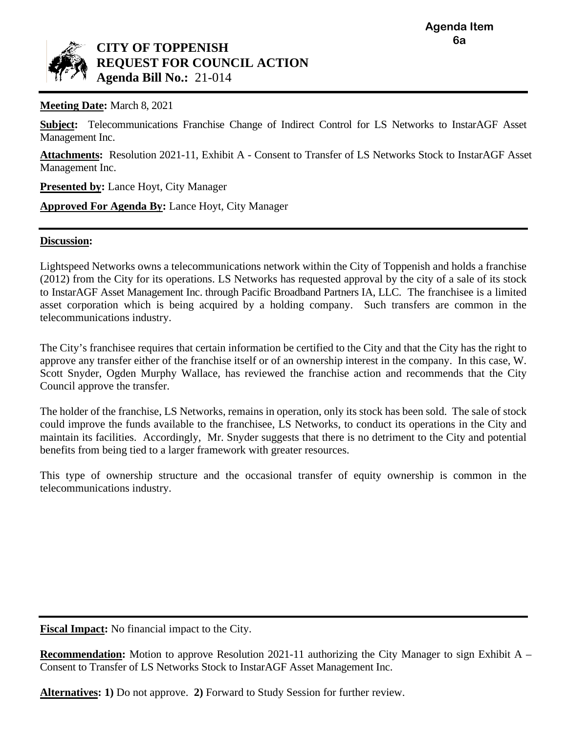<span id="page-10-0"></span>

# **CITY OF TOPPENISH REQUEST FOR COUNCIL ACTION Agenda Bill No.:** 21-014

**Meeting Date:** March 8, 2021

**Subject:** Telecommunications Franchise Change of Indirect Control for LS Networks to InstarAGF Asset Management Inc.

**Attachments:** Resolution 2021-11, Exhibit A - Consent to Transfer of LS Networks Stock to InstarAGF Asset Management Inc.

**Presented by:** Lance Hoyt, City Manager

**Approved For Agenda By:** Lance Hoyt, City Manager

# **Discussion:**

Lightspeed Networks owns a telecommunications network within the City of Toppenish and holds a franchise (2012) from the City for its operations. LS Networks has requested approval by the city of a sale of its stock to InstarAGF Asset Management Inc. through Pacific Broadband Partners IA, LLC. The franchisee is a limited asset corporation which is being acquired by a holding company. Such transfers are common in the telecommunications industry.

The City's franchisee requires that certain information be certified to the City and that the City has the right to approve any transfer either of the franchise itself or of an ownership interest in the company. In this case, W. Scott Snyder, Ogden Murphy Wallace, has reviewed the franchise action and recommends that the City Council approve the transfer.

The holder of the franchise, LS Networks, remains in operation, only its stock has been sold. The sale of stock could improve the funds available to the franchisee, LS Networks, to conduct its operations in the City and maintain its facilities. Accordingly, Mr. Snyder suggests that there is no detriment to the City and potential benefits from being tied to a larger framework with greater resources.

This type of ownership structure and the occasional transfer of equity ownership is common in the telecommunications industry.

**Fiscal Impact:** No financial impact to the City.

**Recommendation:** Motion to approve Resolution 2021-11 authorizing the City Manager to sign Exhibit A – Consent to Transfer of LS Networks Stock to InstarAGF Asset Management Inc.

**Alternatives: 1)** Do not approve. **2)** Forward to Study Session for further review.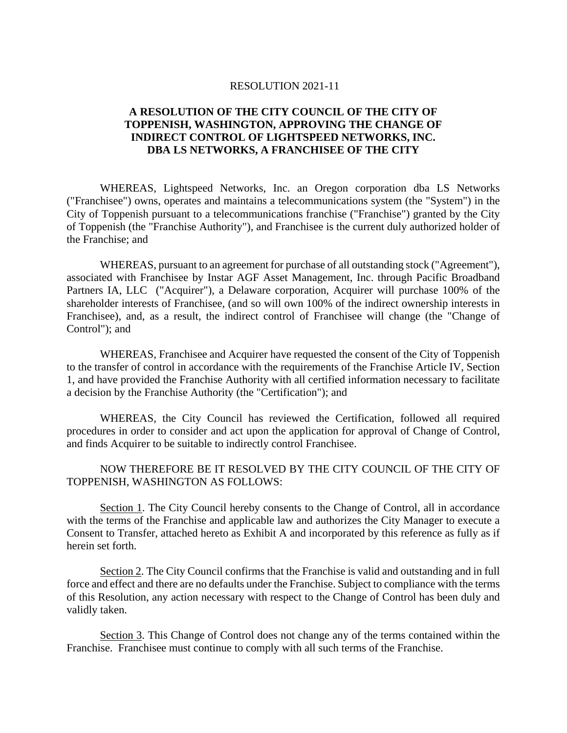#### RESOLUTION 2021-11

# **A RESOLUTION OF THE CITY COUNCIL OF THE CITY OF TOPPENISH, WASHINGTON, APPROVING THE CHANGE OF INDIRECT CONTROL OF LIGHTSPEED NETWORKS, INC. DBA LS NETWORKS, A FRANCHISEE OF THE CITY**

WHEREAS, Lightspeed Networks, Inc. an Oregon corporation dba LS Networks ("Franchisee") owns, operates and maintains a telecommunications system (the "System") in the City of Toppenish pursuant to a telecommunications franchise ("Franchise") granted by the City of Toppenish (the "Franchise Authority"), and Franchisee is the current duly authorized holder of the Franchise; and

WHEREAS, pursuant to an agreement for purchase of all outstanding stock ("Agreement"), associated with Franchisee by Instar AGF Asset Management, Inc. through Pacific Broadband Partners IA, LLC ("Acquirer"), a Delaware corporation, Acquirer will purchase 100% of the shareholder interests of Franchisee, (and so will own 100% of the indirect ownership interests in Franchisee), and, as a result, the indirect control of Franchisee will change (the "Change of Control"); and

WHEREAS, Franchisee and Acquirer have requested the consent of the City of Toppenish to the transfer of control in accordance with the requirements of the Franchise Article IV, Section 1, and have provided the Franchise Authority with all certified information necessary to facilitate a decision by the Franchise Authority (the "Certification"); and

WHEREAS, the City Council has reviewed the Certification, followed all required procedures in order to consider and act upon the application for approval of Change of Control, and finds Acquirer to be suitable to indirectly control Franchisee.

# NOW THEREFORE BE IT RESOLVED BY THE CITY COUNCIL OF THE CITY OF TOPPENISH, WASHINGTON AS FOLLOWS:

Section 1. The City Council hereby consents to the Change of Control, all in accordance with the terms of the Franchise and applicable law and authorizes the City Manager to execute a Consent to Transfer, attached hereto as Exhibit A and incorporated by this reference as fully as if herein set forth.

Section 2. The City Council confirms that the Franchise is valid and outstanding and in full force and effect and there are no defaults under the Franchise. Subject to compliance with the terms of this Resolution, any action necessary with respect to the Change of Control has been duly and validly taken.

Section 3. This Change of Control does not change any of the terms contained within the Franchise. Franchisee must continue to comply with all such terms of the Franchise.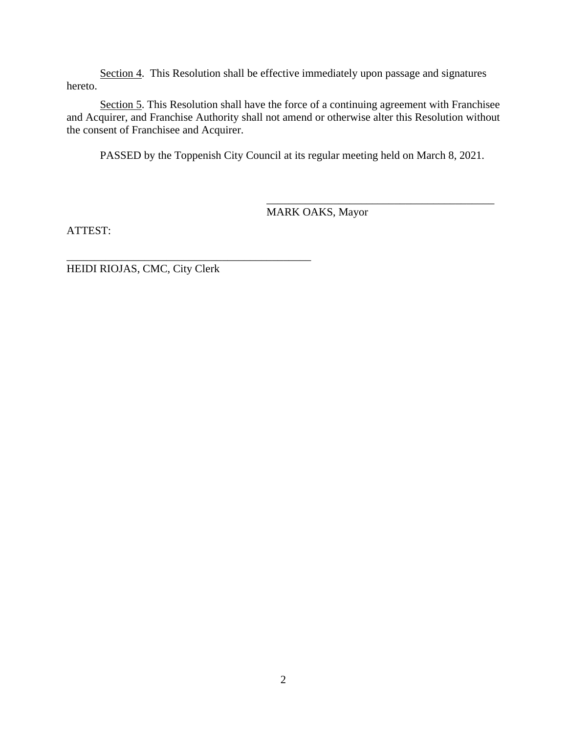Section 4. This Resolution shall be effective immediately upon passage and signatures hereto.

Section 5. This Resolution shall have the force of a continuing agreement with Franchisee and Acquirer, and Franchise Authority shall not amend or otherwise alter this Resolution without the consent of Franchisee and Acquirer.

PASSED by the Toppenish City Council at its regular meeting held on March 8, 2021.

MARK OAKS, Mayor

\_\_\_\_\_\_\_\_\_\_\_\_\_\_\_\_\_\_\_\_\_\_\_\_\_\_\_\_\_\_\_\_\_\_\_\_\_\_\_\_\_

ATTEST:

HEIDI RIOJAS, CMC, City Clerk

\_\_\_\_\_\_\_\_\_\_\_\_\_\_\_\_\_\_\_\_\_\_\_\_\_\_\_\_\_\_\_\_\_\_\_\_\_\_\_\_\_\_\_\_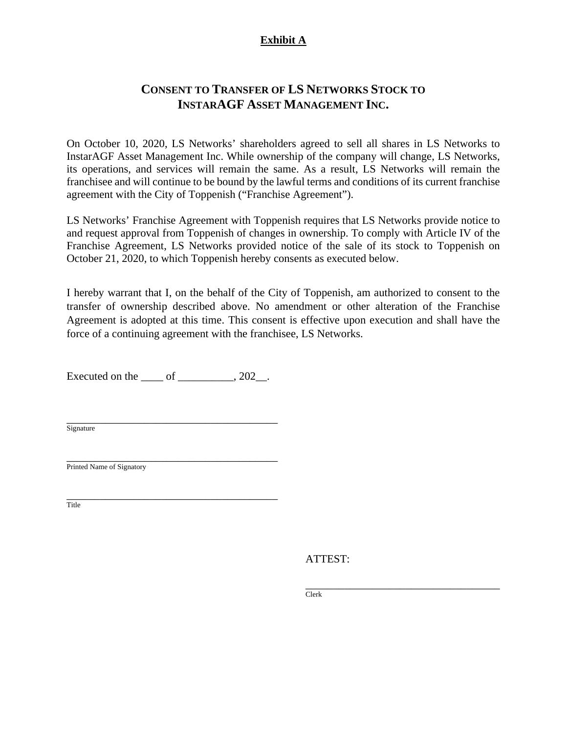# **Exhibit A**

# **CONSENT TO TRANSFER OF LS NETWORKS STOCK TO INSTARAGF ASSET MANAGEMENT INC.**

On October 10, 2020, LS Networks' shareholders agreed to sell all shares in LS Networks to InstarAGF Asset Management Inc. While ownership of the company will change, LS Networks, its operations, and services will remain the same. As a result, LS Networks will remain the franchisee and will continue to be bound by the lawful terms and conditions of its current franchise agreement with the City of Toppenish ("Franchise Agreement").

LS Networks' Franchise Agreement with Toppenish requires that LS Networks provide notice to and request approval from Toppenish of changes in ownership. To comply with Article IV of the Franchise Agreement, LS Networks provided notice of the sale of its stock to Toppenish on October 21, 2020, to which Toppenish hereby consents as executed below.

I hereby warrant that I, on the behalf of the City of Toppenish, am authorized to consent to the transfer of ownership described above. No amendment or other alteration of the Franchise Agreement is adopted at this time. This consent is effective upon execution and shall have the force of a continuing agreement with the franchisee, LS Networks.

Executed on the  $\rule{1em}{0.15mm}$  of  $\rule{1em}{0.15mm}$   $\qquad$   $\qquad$   $\qquad$   $\qquad$   $\qquad$   $\qquad$   $\qquad$   $\qquad$   $\qquad$   $\qquad$   $\qquad$   $\qquad$   $\qquad$   $\qquad$   $\qquad$   $\qquad$   $\qquad$   $\qquad$   $\qquad$   $\qquad$   $\qquad$   $\qquad$   $\qquad$   $\qquad$   $\qquad$   $\qquad$   $\qquad$   $\qquad$   $\qquad$ 

\_\_\_\_\_\_\_\_\_\_\_\_\_\_\_\_\_\_\_\_\_\_\_\_\_\_\_\_\_\_\_\_\_\_\_\_\_\_ **Signature** 

\_\_\_\_\_\_\_\_\_\_\_\_\_\_\_\_\_\_\_\_\_\_\_\_\_\_\_\_\_\_\_\_\_\_\_\_\_\_ Printed Name of Signatory

\_\_\_\_\_\_\_\_\_\_\_\_\_\_\_\_\_\_\_\_\_\_\_\_\_\_\_\_\_\_\_\_\_\_\_\_\_\_ Title

ATTEST:

\_\_\_\_\_\_\_\_\_\_\_\_\_\_\_\_\_\_\_\_\_\_\_\_\_\_\_\_\_\_\_\_\_\_\_ Clerk